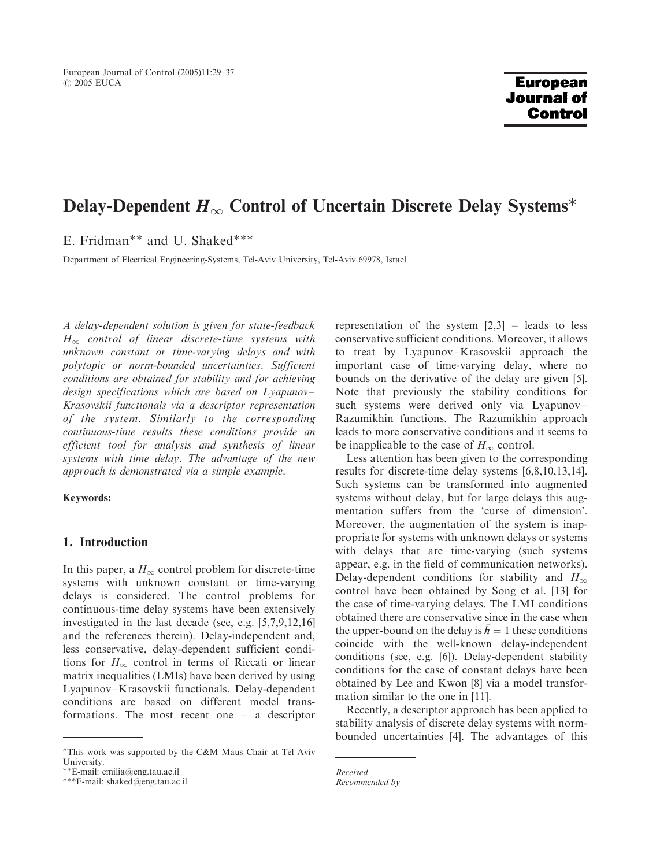# Delay-Dependent  $H_{\infty}$  Control of Uncertain Discrete Delay Systems<sup>\*</sup>

E. Fridman<sup>\*\*</sup> and U. Shaked<sup>\*\*\*</sup>

Department of Electrical Engineering-Systems, Tel-Aviv University, Tel-Aviv 69978, Israel

A delay-dependent solution is given for state-feedback  $H_{\infty}$  control of linear discrete-time systems with unknown constant or time-varying delays and with polytopic or norm-bounded uncertainties. Sufficient conditions are obtained for stability and for achieving design specifications which are based on Lyapunov– Krasovskii functionals via a descriptor representation of the system. Similarly to the corresponding continuous-time results these conditions provide an efficient tool for analysis and synthesis of linear systems with time delay. The advantage of the new approach is demonstrated via a simple example.

#### Keywords:

# 1. Introduction

In this paper, a  $H_{\infty}$  control problem for discrete-time systems with unknown constant or time-varying delays is considered. The control problems for continuous-time delay systems have been extensively investigated in the last decade (see, e.g. [5,7,9,12,16] and the references therein). Delay-independent and, less conservative, delay-dependent sufficient conditions for  $H_{\infty}$  control in terms of Riccati or linear matrix inequalities (LMIs) have been derived by using Lyapunov–Krasovskii functionals. Delay-dependent conditions are based on different model transformations. The most recent one – a descriptor

representation of the system  $[2,3]$  – leads to less conservative sufficient conditions. Moreover, it allows to treat by Lyapunov–Krasovskii approach the important case of time-varying delay, where no bounds on the derivative of the delay are given [5]. Note that previously the stability conditions for such systems were derived only via Lyapunov– Razumikhin functions. The Razumikhin approach leads to more conservative conditions and it seems to be inapplicable to the case of  $H_{\infty}$  control.

Less attention has been given to the corresponding results for discrete-time delay systems [6,8,10,13,14]. Such systems can be transformed into augmented systems without delay, but for large delays this augmentation suffers from the 'curse of dimension'. Moreover, the augmentation of the system is inappropriate for systems with unknown delays or systems with delays that are time-varying (such systems appear, e.g. in the field of communication networks). Delay-dependent conditions for stability and  $H_{\infty}$ control have been obtained by Song et al. [13] for the case of time-varying delays. The LMI conditions obtained there are conservative since in the case when the upper-bound on the delay is  $\bar{h} = 1$  these conditions coincide with the well-known delay-independent conditions (see, e.g. [6]). Delay-dependent stability conditions for the case of constant delays have been obtained by Lee and Kwon [8] via a model transformation similar to the one in [11].

Recently, a descriptor approach has been applied to stability analysis of discrete delay systems with normbounded uncertainties [4]. The advantages of this

<sup>-</sup>This work was supported by the C&M Maus Chair at Tel Aviv University.

<sup>-</sup>-

E-mail: emilia@eng.tau.ac.il ---E-mail: shaked@eng.tau.ac.il

Received Recommended by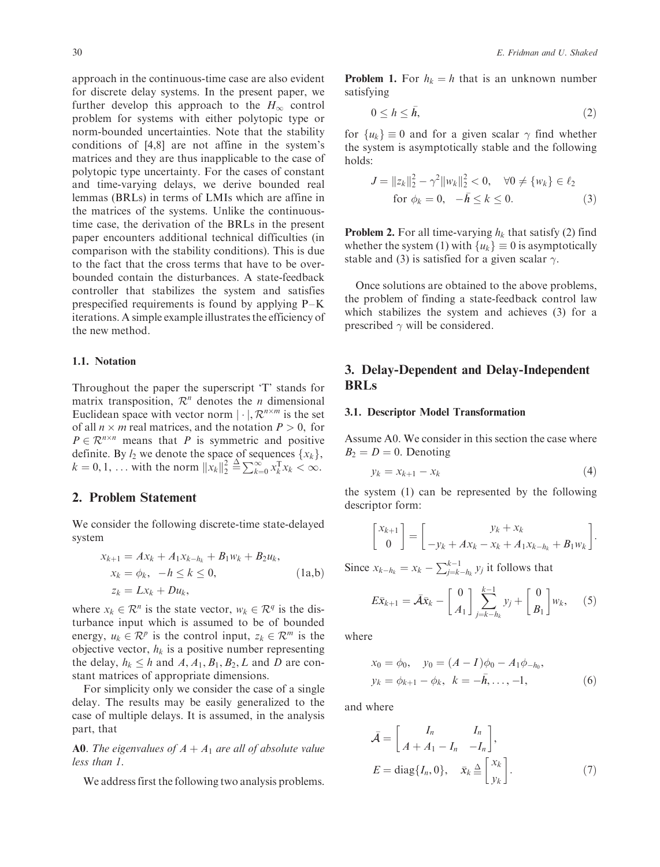approach in the continuous-time case are also evident for discrete delay systems. In the present paper, we further develop this approach to the  $H_{\infty}$  control problem for systems with either polytopic type or norm-bounded uncertainties. Note that the stability conditions of [4,8] are not affine in the system's matrices and they are thus inapplicable to the case of polytopic type uncertainty. For the cases of constant and time-varying delays, we derive bounded real lemmas (BRLs) in terms of LMIs which are affine in the matrices of the systems. Unlike the continuoustime case, the derivation of the BRLs in the present paper encounters additional technical difficulties (in comparison with the stability conditions). This is due to the fact that the cross terms that have to be overbounded contain the disturbances. A state-feedback controller that stabilizes the system and satisfies prespecified requirements is found by applying P–K iterations. A simple example illustrates the efficiency of the new method.

## 1.1. Notation

Throughout the paper the superscript 'T' stands for matrix transposition,  $\mathcal{R}^n$  denotes the *n* dimensional Euclidean space with vector norm  $|\cdot|$ ,  $\mathcal{R}^{n \times m}$  is the set of all  $n \times m$  real matrices, and the notation  $P > 0$ , for  $P \in \mathcal{R}^{n \times n}$  means that P is symmetric and positive definite. By  $l_2$  we denote the space of sequences  $\{x_k\}$ ,  $k = 0, 1, \ldots$  with the norm  $||x_k||_2^2 \triangleq \sum_{k=0}^{\infty} x_k^{\text{T}} x_k < \infty$ .

## 2. Problem Statement

We consider the following discrete-time state-delayed system

$$
x_{k+1} = Ax_k + A_1 x_{k-h_k} + B_1 w_k + B_2 u_k, \n x_k = \phi_k, \quad -h \le k \le 0, \n z_k = Lx_k + Du_k,
$$
\n(1a,b)

where  $x_k \in \mathcal{R}^n$  is the state vector,  $w_k \in \mathcal{R}^q$  is the disturbance input which is assumed to be of bounded energy,  $u_k \in \mathcal{R}^p$  is the control input,  $z_k \in \mathcal{R}^m$  is the objective vector,  $h_k$  is a positive number representing the delay,  $h_k \leq h$  and  $A, A_1, B_1, B_2, L$  and D are constant matrices of appropriate dimensions.

For simplicity only we consider the case of a single delay. The results may be easily generalized to the case of multiple delays. It is assumed, in the analysis part, that

A0. The eigenvalues of  $A + A_1$  are all of absolute value less than 1.

We address first the following two analysis problems.

**Problem 1.** For  $h_k = h$  that is an unknown number satisfying

$$
0 \le h \le \bar{h},\tag{2}
$$

for  $\{u_k\} \equiv 0$  and for a given scalar  $\gamma$  find whether the system is asymptotically stable and the following holds:

$$
J = ||z_k||_2^2 - \gamma^2 ||w_k||_2^2 < 0, \quad \forall 0 \neq \{w_k\} \in \ell_2
$$
  
for  $\phi_k = 0, \quad -\bar{h} \le k \le 0.$  (3)

**Problem 2.** For all time-varying  $h_k$  that satisfy (2) find whether the system (1) with  $\{u_k\} \equiv 0$  is asymptotically stable and (3) is satisfied for a given scalar  $\gamma$ .

Once solutions are obtained to the above problems, the problem of finding a state-feedback control law which stabilizes the system and achieves (3) for a prescribed  $\gamma$  will be considered.

# 3. Delay-Dependent and Delay-Independent BRLs

#### 3.1. Descriptor Model Transformation

Assume A0. We consider in this section the case where  $B_2 = D = 0$ . Denoting

$$
y_k = x_{k+1} - x_k \tag{4}
$$

the system (1) can be represented by the following descriptor form:

$$
\begin{bmatrix} x_{k+1} \\ 0 \end{bmatrix} = \begin{bmatrix} y_k + x_k \\ -y_k + Ax_k - x_k + A_1x_{k-h_k} + B_1w_k \end{bmatrix}.
$$

Since  $x_{k-h_k} = x_k - \sum_{j=k-h_k}^{k-1} y_j$  it follows that

$$
E\bar{x}_{k+1} = \bar{\mathcal{A}}\bar{x}_k - \begin{bmatrix} 0 \\ A_1 \end{bmatrix} \sum_{j=k-h_k}^{k-1} y_j + \begin{bmatrix} 0 \\ B_1 \end{bmatrix} w_k, \quad (5)
$$

where

$$
x_0 = \phi_0, \quad y_0 = (A - I)\phi_0 - A_1\phi_{-h_0},
$$
  

$$
y_k = \phi_{k+1} - \phi_k, \quad k = -\bar{h}, \dots, -1,
$$
 (6)

and where

$$
\bar{\mathcal{A}} = \begin{bmatrix} I_n & I_n \\ A + A_1 - I_n & -I_n \end{bmatrix},
$$
\n
$$
E = \text{diag}\{I_n, 0\}, \quad \bar{x}_k \stackrel{\Delta}{=} \begin{bmatrix} x_k \\ y_k \end{bmatrix}.
$$
\n(7)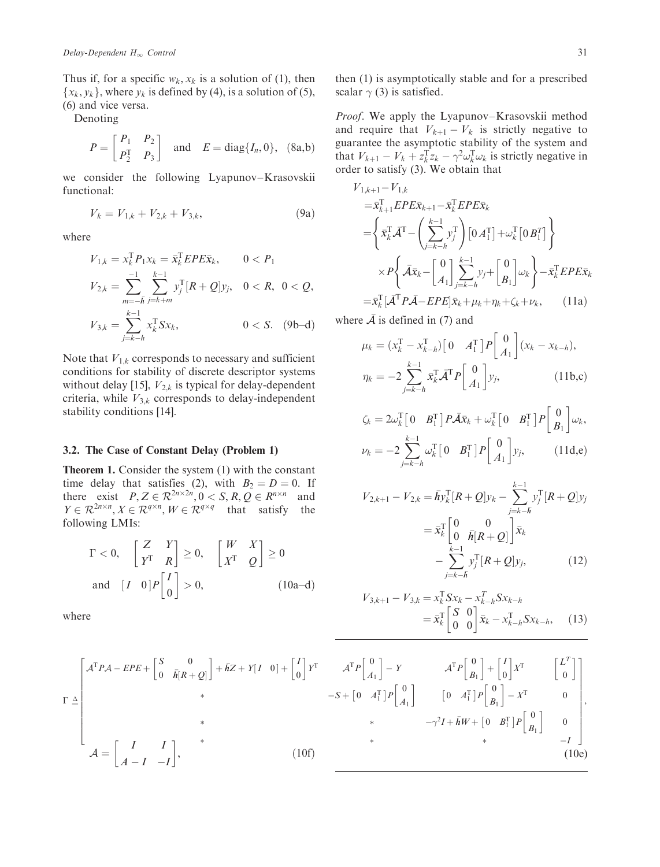Thus if, for a specific  $w_k$ ,  $x_k$  is a solution of (1), then  $\{x_k, y_k\}$ , where  $y_k$  is defined by (4), is a solution of (5), (6) and vice versa.

Denoting

$$
P = \begin{bmatrix} P_1 & P_2 \\ P_2^T & P_3 \end{bmatrix} \text{ and } E = \text{diag}\{I_n, 0\}, \text{ (8a,b)}
$$

we consider the following Lyapunov–Krasovskii functional:

$$
V_k = V_{1,k} + V_{2,k} + V_{3,k}, \tag{9a}
$$

where

$$
V_{1,k} = x_k^{\mathrm{T}} P_1 x_k = \bar{x}_k^{\mathrm{T}} EPE \bar{x}_k, \qquad 0 < P_1
$$
\n
$$
V_{2,k} = \sum_{m=-\bar{h}}^{-1} \sum_{j=k+m}^{k-1} y_j^{\mathrm{T}} [R+Q] y_j, \quad 0 < R, \quad 0 < Q,
$$
\n
$$
V_{3,k} = \sum_{j=k-h}^{k-1} x_k^{\mathrm{T}} S x_k, \qquad 0 < S. \quad (9b-d)
$$

Note that  $V_{1,k}$  corresponds to necessary and sufficient conditions for stability of discrete descriptor systems without delay [15],  $V_{2,k}$  is typical for delay-dependent criteria, while  $V_{3,k}$  corresponds to delay-independent stability conditions [14].

#### 3.2. The Case of Constant Delay (Problem 1)

Theorem 1. Consider the system (1) with the constant time delay that satisfies (2), with  $B_2 = D = 0$ . If there exist  $P, Z \in \mathbb{R}^{2n \times 2n}, 0 \lt S, R, Q \in \mathbb{R}^{n \times n}$  and  $Y \in \mathcal{R}^{2n \times n}$ ,  $X \in \mathcal{R}^{q \times n}$ ,  $W \in \mathcal{R}^{q \times q}$  that satisfy the following LMIs:

$$
\Gamma < 0, \quad \begin{bmatrix} Z & Y \\ Y^T & R \end{bmatrix} \ge 0, \quad \begin{bmatrix} W & X \\ X^T & Q \end{bmatrix} \ge 0
$$
\nand

\n
$$
\begin{bmatrix} I & 0 \end{bmatrix} P \begin{bmatrix} I \\ 0 \end{bmatrix} > 0, \quad (10a-d)
$$

where

$$
\Gamma \triangleq \begin{bmatrix} \mathcal{A}^{\mathrm{T}} P \mathcal{A} - E P E + \begin{bmatrix} S & 0 \\ 0 & \bar{h} [R + Q] \end{bmatrix} + \bar{h} Z + Y[I \quad 0] + \begin{bmatrix} I \\ 0 \end{bmatrix} Y \\ * \\ * \\ \mathcal{A} = \begin{bmatrix} I & I \\ A - I & -I \end{bmatrix}, \end{bmatrix}
$$
 (10f)

then (1) is asymptotically stable and for a prescribed scalar  $\gamma$  (3) is satisfied.

Proof. We apply the Lyapunov–Krasovskii method and require that  $V_{k+1} - V_k$  is strictly negative to guarantee the asymptotic stability of the system and that  $V_{k+1} - V_k + z_k^{\mathrm{T}} z_k - \gamma^2 \omega_k^{\mathrm{T}} \omega_k$  is strictly negative in order to satisfy (3). We obtain that

$$
V_{1,k+1} - V_{1,k}
$$
  
\n
$$
= \bar{x}_{k+1}^{\mathrm{T}} EPE \bar{x}_{k+1} - \bar{x}_{k}^{\mathrm{T}} EPE \bar{x}_{k}
$$
  
\n
$$
= \left\{ \bar{x}_{k}^{\mathrm{T}} \bar{A}^{\mathrm{T}} - \left( \sum_{j=k-h}^{k-1} y_{j}^{\mathrm{T}} \right) [0 A_{1}^{\mathrm{T}}] + \omega_{k}^{\mathrm{T}} [0 B_{1}^{\mathrm{T}}] \right\}
$$
  
\n
$$
\times P \left\{ \bar{A} \bar{x}_{k} - \begin{bmatrix} 0 \\ A_{1} \end{bmatrix} \sum_{j=k-h}^{k-1} y_{j} + \begin{bmatrix} 0 \\ B_{1} \end{bmatrix} \omega_{k} \right\} - \bar{x}_{k}^{\mathrm{T}} EPE \bar{x}_{k}
$$
  
\n
$$
= \bar{x}_{k}^{\mathrm{T}} [\bar{A}^{\mathrm{T}} P \bar{A} - EPE] \bar{x}_{k} + \mu_{k} + \eta_{k} + \zeta_{k} + \nu_{k}, \qquad (11a)
$$

where  $\overline{A}$  is defined in (7) and

$$
\mu_k = (x_k^{\mathrm{T}} - x_{k-h}^{\mathrm{T}}) \begin{bmatrix} 0 & A_1^{\mathrm{T}} \end{bmatrix} P \begin{bmatrix} 0 \\ A_1 \end{bmatrix} (x_k - x_{k-h}),
$$
  

$$
\eta_k = -2 \sum_{j=k-h}^{k-1} \bar{x}_k^{\mathrm{T}} \bar{\mathcal{A}}^{\mathrm{T}} P \begin{bmatrix} 0 \\ A_1 \end{bmatrix} y_j,
$$
(11b,c)

$$
\zeta_k = 2\omega_k^{\mathrm{T}} \begin{bmatrix} 0 & B_1^{\mathrm{T}} \end{bmatrix} P \bar{\mathcal{A}} \bar{x}_k + \omega_k^{\mathrm{T}} \begin{bmatrix} 0 & B_1^{\mathrm{T}} \end{bmatrix} P \begin{bmatrix} 0 \\ B_1 \end{bmatrix} \omega_k,
$$
  

$$
\nu_k = -2 \sum_{j=k-h}^{k-1} \omega_k^{\mathrm{T}} \begin{bmatrix} 0 & B_1^{\mathrm{T}} \end{bmatrix} P \begin{bmatrix} 0 \\ A_1 \end{bmatrix} y_j,
$$
 (11d,e)

$$
V_{2,k+1} - V_{2,k} = \bar{h}y_k^{\mathrm{T}}[R+Q]y_k - \sum_{j=k-\bar{h}}^{k-1} y_j^{\mathrm{T}}[R+Q]y_j
$$
  

$$
= \bar{x}_k^{\mathrm{T}} \begin{bmatrix} 0 & 0 \\ 0 & \bar{h}[R+Q] \end{bmatrix} \bar{x}_k
$$
  

$$
- \sum_{j=k-\bar{h}}^{k-1} y_j^{\mathrm{T}}[R+Q]y_j,
$$
 (12)

$$
V_{3,k+1} - V_{3,k} = x_k^T S x_k - x_{k-h}^T S x_{k-h}
$$
  
=  $\bar{x}_k^T \begin{bmatrix} S & 0 \ 0 & 0 \end{bmatrix} \bar{x}_k - x_{k-h}^T S x_{k-h},$  (13)

$$
Y^{T} \qquad \mathcal{A}^{T}P\begin{bmatrix} 0 \\ A_{1} \end{bmatrix} - Y \qquad \qquad \mathcal{A}^{T}P\begin{bmatrix} 0 \\ B_{1} \end{bmatrix} + \begin{bmatrix} I \\ 0 \end{bmatrix}X^{T} \qquad \begin{bmatrix} L^{T} \\ 0 \end{bmatrix}
$$

$$
-S + \begin{bmatrix} 0 & A_{1}^{T} \end{bmatrix}P\begin{bmatrix} 0 \\ A_{1} \end{bmatrix} \qquad \begin{bmatrix} 0 & A_{1}^{T} \end{bmatrix}P\begin{bmatrix} 0 \\ B_{1} \end{bmatrix} - X^{T} \qquad \qquad 0
$$

$$
* \qquad \qquad -\gamma^{2}I + \bar{h}W + \begin{bmatrix} 0 & B_{1}^{T} \end{bmatrix}P\begin{bmatrix} 0 \\ B_{1} \end{bmatrix} \qquad \qquad 0
$$

$$
* \qquad \qquad * \qquad \qquad -I
$$

$$
I
$$

$$
I
$$

$$
I
$$

$$
I
$$

$$
I
$$

$$
I
$$

$$
I
$$

$$
I
$$

$$
I
$$

$$
I
$$

$$
I
$$

$$
I
$$

$$
I
$$

$$
I
$$

$$
I
$$

$$
I
$$

$$
I
$$

$$
I
$$

$$
I
$$

$$
I
$$

$$
I
$$

$$
I
$$

$$
I
$$

$$
I
$$

$$
I
$$

$$
I
$$

$$
I
$$

$$
I
$$

$$
I
$$

$$
I
$$

$$
I
$$

$$
I
$$

$$
I
$$

$$
I
$$

$$
I
$$

$$
I
$$

$$
I
$$

$$
I
$$

$$
I
$$

$$
I
$$

$$
I
$$

$$
I
$$

$$
I
$$

$$
I
$$

$$
I
$$

$$
I
$$

$$
I
$$
<math display="</math>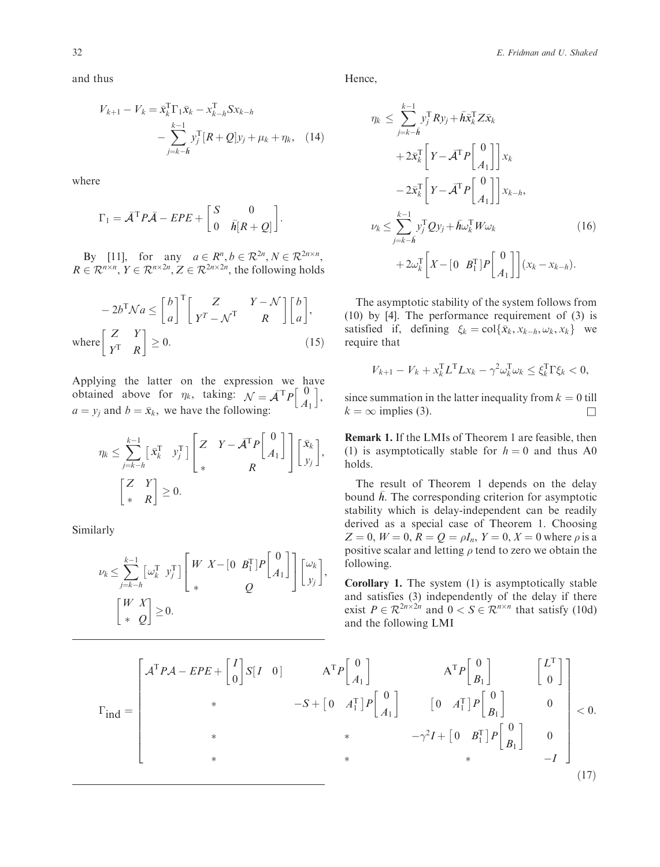and thus

$$
V_{k+1} - V_k = \bar{x}_k^{\mathrm{T}} \Gamma_1 \bar{x}_k - x_{k-h}^{\mathrm{T}} S x_{k-h}
$$

$$
- \sum_{j=k-h}^{k-1} y_j^{\mathrm{T}} [R + Q] y_j + \mu_k + \eta_k, \quad (14)
$$

where

$$
\Gamma_1 = \bar{\mathcal{A}}^{\mathrm{T}} P \bar{\mathcal{A}} - EPE + \begin{bmatrix} S & 0 \\ 0 & \bar{h}[R+Q] \end{bmatrix}.
$$

By [11], for any  $a \in \mathbb{R}^n, b \in \mathbb{R}^{2n}, N \in \mathbb{R}^{2n \times n}$ ,  $R \in \mathcal{R}^{n \times n}$ ,  $Y \in \mathcal{R}^{n \times 2n}$ ,  $Z \in \mathcal{R}^{2n \times 2n}$ , the following holds

$$
-2b^{\mathrm{T}}\mathcal{N}a \leq \begin{bmatrix} b \\ a \end{bmatrix}^{\mathrm{T}} \begin{bmatrix} Z & Y - \mathcal{N} \\ R \end{bmatrix} \begin{bmatrix} b \\ a \end{bmatrix},
$$
  
where 
$$
\begin{bmatrix} Z & Y \\ Y^{\mathrm{T}} & R \end{bmatrix} \geq 0.
$$
 (15)

Applying the latter on the expression we have obtained above for  $\eta_k$ , taking:  $N = \bar{A}^\text{T} P \begin{bmatrix} 0 \\ 4 \end{bmatrix}$  $A_1$ i ,  $a = y_j$  and  $b = \bar{x}_k$ , we have the following:

$$
\eta_k \leq \sum_{j=k-h}^{k-1} \left[ \bar{x}_k^{\mathrm{T}} \quad y_j^{\mathrm{T}} \right] \left[ \begin{array}{cc} Z & Y - \bar{\mathcal{A}}^{\mathrm{T}} P \begin{bmatrix} 0 \\ A_1 \end{bmatrix} \end{array} \right] \left[ \begin{array}{c} \bar{x}_k \\ y_j \end{array} \right],
$$

$$
\left[ \begin{array}{cc} Z & Y \\ * & R \end{array} \right] \geq 0.
$$

Similarly

$$
\nu_k \leq \sum_{j=k-h}^{k-1} \left[\omega_k^{\mathrm{T}} \hspace{0.1cm} y_j^{\mathrm{T}}\right] \left[\begin{array}{c} W & X - \begin{bmatrix} 0 & B_1^{\mathrm{T}} \end{bmatrix} P \begin{bmatrix} 0 \\ A_1 \end{bmatrix} \end{array}\right] \begin{bmatrix} \omega_k \\ y_j \end{bmatrix},
$$

$$
\left[\begin{array}{c} W & X \\ * & Q \end{array}\right] \geq 0.
$$

Hence,

$$
\eta_k \leq \sum_{j=k-\overline{h}}^{k-1} y_j^{\mathrm{T}} R y_j + \overline{h} \overline{x}_k^{\mathrm{T}} Z \overline{x}_k
$$
  
+2\overline{x}\_k^{\mathrm{T}} \left[ Y - \overline{A}^{\mathrm{T}} P \begin{bmatrix} 0 \\ A\_1 \end{bmatrix} \right] x\_k  
-2\overline{x}\_k^{\mathrm{T}} \left[ Y - \overline{A}^{\mathrm{T}} P \begin{bmatrix} 0 \\ A\_1 \end{bmatrix} \right] x\_{k-h},  

$$
\nu_k \leq \sum_{j=k-\overline{h}}^{k-1} y_j^{\mathrm{T}} Q y_j + \overline{h} \omega_k^{\mathrm{T}} W \omega_k
$$
(16)  
+2\omega\_k^{\mathrm{T}} \left[ X - \begin{bmatrix} 0 & B\_1^{\mathrm{T}} \end{bmatrix} P \begin{bmatrix} 0 \\ A\_1 \end{bmatrix} \right] (x\_k - x\_{k-h}).

The asymptotic stability of the system follows from (10) by [4]. The performance requirement of (3) is satisfied if, defining  $\xi_k = \text{col}\{\bar{x}_k, x_{k-h}, \omega_k, x_k\}$  we require that

$$
V_{k+1} - V_k + x_k^{\mathrm{T}} L^{\mathrm{T}} L x_k - \gamma^2 \omega_k^{\mathrm{T}} \omega_k \leq \xi_k^{\mathrm{T}} \Gamma \xi_k < 0,
$$

since summation in the latter inequality from  $k = 0$  till  $k = \infty$  implies (3).

Remark 1. If the LMIs of Theorem 1 are feasible, then (1) is asymptotically stable for  $h = 0$  and thus A0 holds.

The result of Theorem 1 depends on the delay bound h. The corresponding criterion for asymptotic stability which is delay-independent can be readily derived as a special case of Theorem 1. Choosing  $Z = 0, W = 0, R = Q = \rho I_n, Y = 0, X = 0$  where  $\rho$  is a positive scalar and letting  $\rho$  tend to zero we obtain the following.

Corollary 1. The system (1) is asymptotically stable and satisfies (3) independently of the delay if there exist  $P \in \mathcal{R}^{2n \times 2n}$  and  $0 < S \in \mathcal{R}^{n \times n}$  that satisfy (10d) and the following LMI

$$
\Gamma_{\text{ind}} = \begin{bmatrix}\n\mathcal{A}^{\text{T}} P \mathcal{A} - E P E + \begin{bmatrix} I \\ 0 \end{bmatrix} S [I \quad 0] & \mathcal{A}^{\text{T}} P \begin{bmatrix} 0 \\ A_1 \end{bmatrix} & \mathcal{A}^{\text{T}} P \begin{bmatrix} 0 \\ B_1 \end{bmatrix} & \begin{bmatrix} L^{\text{T}} \\ 0 \end{bmatrix} \\ * & -S + \begin{bmatrix} 0 & A_1^{\text{T}} \end{bmatrix} P \begin{bmatrix} 0 \\ A_1 \end{bmatrix} & \begin{bmatrix} 0 & A_1^{\text{T}} \end{bmatrix} P \begin{bmatrix} 0 \\ B_1 \end{bmatrix} & 0 \\ * & * & -\gamma^2 I + \begin{bmatrix} 0 & B_1^{\text{T}} \end{bmatrix} P \begin{bmatrix} 0 \\ B_1 \end{bmatrix} & 0 \\ * & * & -I \end{bmatrix} \tag{17}
$$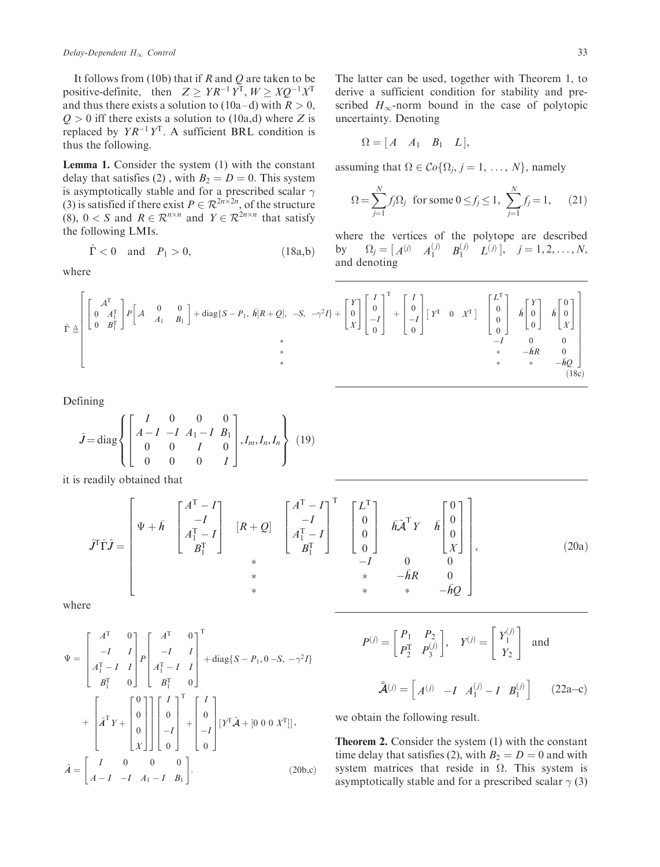It follows from (10b) that if  $R$  and  $Q$  are taken to be positive-definite, then  $Z \ge Y R^{-1} Y^T$ ,  $W \ge X Q^{-1} X^T$ and thus there exists a solution to (10a–d) with  $R > 0$ ,  $Q > 0$  iff there exists a solution to (10a,d) where Z is replaced by  $YR^{-1}Y^{T}$ . A sufficient BRL condition is thus the following.

**Lemma 1.** Consider the system  $(1)$  with the constant delay that satisfies (2), with  $B_2 = D = 0$ . This system is asymptotically stable and for a prescribed scalar  $\gamma$ (3) is satisfied if there exist  $P \in \mathcal{R}^{2n \times 2n}$ , of the structure (8),  $0 < S$  and  $R \in \mathbb{R}^{n \times n}$  and  $Y \in \mathbb{R}^{2n \times n}$  that satisfy the following LMIs.

$$
\hat{\Gamma} < 0 \quad \text{and} \quad P_1 > 0,\tag{18a,b}
$$

where

$$
\Omega = [A \quad A_1 \quad B_1 \quad L],
$$
  
stant  
atami  
at 
$$
\Omega \in Co\{\Omega_j, j = 1, ..., N\}, \text{ namely}
$$

uncertainty. Denoting

$$
\Omega = \sum_{j=1}^{N} f_j \Omega_j \text{ for some } 0 \le f_j \le 1, \sum_{j=1}^{N} f_j = 1,
$$
 (21)

The latter can be used, together with Theorem 1, to derive a sufficient condition for stability and prescribed  $H_{\infty}$ -norm bound in the case of polytopic

where the vertices of the polytope are described by  $\Omega_j = [A^{(j)} \ A_1^{(j)} \ B_1^{(j)} \ L^{(j)}], \ j = 1, 2, ..., N,$ and denoting

$$
\hat{\Gamma} \triangleq \begin{bmatrix} \begin{bmatrix} \mathcal{A}^{\mathrm{T}} \\ 0 & A_{1}^{\mathrm{T}} \\ 0 & B_{1}^{\mathrm{T}} \end{bmatrix} P \begin{bmatrix} \mathcal{A} & 0 & 0 \\ \mathcal{A} & A_{1} & B_{1} \end{bmatrix} + \text{diag}\{S - P_{1}, \bar{h}[R + Q], -S, -\gamma^{2} I\} + \begin{bmatrix} Y \\ 0 \\ X \end{bmatrix} \begin{bmatrix} I \\ 0 \\ -I \\ 0 \end{bmatrix}^{\mathrm{T}} + \begin{bmatrix} I \\ 0 \\ -I \\ 0 \end{bmatrix} \begin{bmatrix} Y^{\mathrm{T}} & 0 & X^{\mathrm{T}} \end{bmatrix} & \begin{bmatrix} L^{\mathrm{T}} \\ 0 \\ 0 \\ 0 \end{bmatrix} & \bar{h} \begin{bmatrix} Y \\ 0 \\ 0 \\ X \end{bmatrix} \\ \ast & -I & 0 & 0 \\ \ast & -\bar{h}R & 0 \\ \ast & \ast & -\bar{h}Q \\ 0 & (18c) \end{bmatrix}
$$

Defining

$$
\hat{J} = \text{diag}\left\{ \begin{bmatrix} I & 0 & 0 & 0 \\ A - I & -I & A_1 - I & B_1 \\ 0 & 0 & I & 0 \\ 0 & 0 & 0 & I \end{bmatrix}, I_m, I_n, I_n \right\} (19)
$$

it is readily obtained that

$$
\tilde{J}^{\mathrm{T}}\hat{\Gamma}\hat{J} = \begin{bmatrix} \Psi + \bar{h} & \begin{bmatrix} A^{\mathrm{T}} - I \\ -I \\ A_{1}^{\mathrm{T}} - I \\ B_{1}^{\mathrm{T}} \end{bmatrix} & [R + Q] & \begin{bmatrix} A^{\mathrm{T}} - I \\ -I \\ A_{1}^{\mathrm{T}} - I \\ B_{1}^{\mathrm{T}} \end{bmatrix} & \begin{bmatrix} L^{\mathrm{T}} \\ 0 \\ 0 \\ 0 \end{bmatrix} & \bar{h}\tilde{A}^{\mathrm{T}}Y & \bar{h} \begin{bmatrix} 0 \\ 0 \\ 0 \\ X \end{bmatrix} \\ * & -I & 0 & 0 \\ * & -\bar{h}R & 0 \\ * & * & -\bar{h}Q \end{bmatrix}, \qquad (20a)
$$

where

$$
\Psi = \begin{bmatrix} A^{T} & 0 \\ -I & I \\ A_{1}^{T} - I & I \\ B_{1}^{T} & 0 \end{bmatrix} P \begin{bmatrix} A^{T} & 0 \\ -I & I \\ A_{1}^{T} - I & I \\ B_{1}^{T} & 0 \end{bmatrix}^{T} + \text{diag}\{S - P_{1}, 0 - S, -\gamma^{2}I\}
$$

$$
+ \begin{bmatrix} 0 \\ \tilde{A}^{T}Y + \begin{bmatrix} 0 \\ 0 \\ 0 \\ X \end{bmatrix} \end{bmatrix} \begin{bmatrix} I \\ 0 \\ -I \\ 0 \end{bmatrix}^{T} + \begin{bmatrix} I \\ 0 \\ -I \\ 0 \end{bmatrix} [Y^{T}\tilde{A} + [0 \ 0 \ 0 \ X^{T}]],
$$

$$
\tilde{A} = \begin{bmatrix} I & 0 & 0 & 0 \\ A - I & -I & A_{1} - I & B_{1} \end{bmatrix}. \tag{20b,c}
$$

$$
P^{(j)} = \begin{bmatrix} P_1 & P_2 \\ P_2^T & P_3^{(j)} \end{bmatrix}, \quad Y^{(j)} = \begin{bmatrix} Y_1^{(j)} \\ Y_2 \end{bmatrix} \text{ and}
$$

$$
\bar{\bar{\mathcal{A}}}^{(j)} = \begin{bmatrix} A^{(j)} & -I & A_1^{(j)} - I & B_1^{(j)} \end{bmatrix} \qquad (22a-c)
$$

we obtain the following result.

Theorem 2. Consider the system (1) with the constant time delay that satisfies (2), with  $B_2 = D = 0$  and with system matrices that reside in  $\Omega$ . This system is asymptotically stable and for a prescribed scalar  $\gamma$  (3)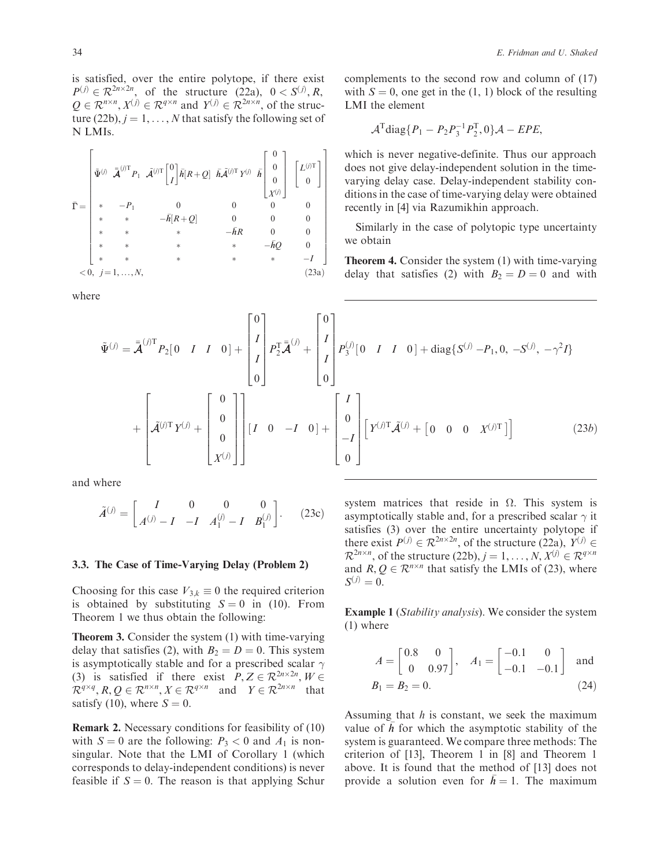2

is satisfied, over the entire polytope, if there exist  $P^{(j)} \in \mathcal{R}^{2n \times 2n}$ , of the structure (22a),  $0 < S^{(j)}$ , R,  $Q \in \mathcal{R}^{n \times n}$ ,  $X^{(j)} \in \mathcal{R}^{q \times n}$  and  $Y^{(j)} \in \mathcal{R}^{2n \times n}$ , of the structure (22b),  $j = 1, \ldots, N$  that satisfy the following set of N LMIs.

$$
\bar{\Gamma} = \begin{bmatrix}\n\tilde{\Psi}^{(j)} & \bar{\mathbf{A}}^{(j)\mathrm{T}} P_1 & \tilde{\mathbf{A}}^{(j)\mathrm{T}} \begin{bmatrix} 0 \\ I \end{bmatrix} \bar{h}[R+Q] & \bar{h}\tilde{\mathbf{A}}^{(j)\mathrm{T}} Y^{(j)} & \bar{h} \begin{bmatrix} 0 \\ 0 \\ 0 \\ X^{(j)} \end{bmatrix} & \begin{bmatrix} L^{(j)\mathrm{T}} \\ 0 \\ 0 \end{bmatrix} \\
* & -P_1 & 0 & 0 & 0 & 0 \\
* & * & -\bar{h}[R+Q] & 0 & 0 & 0 \\
* & * & * & -\bar{h}R & 0 & 0 \\
* & * & * & * & -\bar{h}Q & 0 \\
* & * & * & * & -\bar{h}Q & 0 \\
* & * & * & * & * & -I \\
* & * & * & * & * & -I \\
* & * & * & * & * & -I\n\end{bmatrix}
$$
\n
$$
< 0, j = 1, ..., N, \qquad (23a)
$$

where

 $\tilde{\Psi}^{(j)}$ 

$$
= \bar{\bar{A}}^{(j)T} P_2[0 \quad I \quad I \quad 0] + \begin{bmatrix} 0 \\ I \\ I \\ 0 \end{bmatrix} P_2^T \bar{A}^{(j)} + \begin{bmatrix} 0 \\ I \\ I \\ 0 \end{bmatrix} P_3^{(j)}[0 \quad I \quad I \quad 0] + \text{diag}\{S^{(j)} - P_1, 0, -S^{(j)}, -\gamma^2 I\}
$$

$$
+ \begin{bmatrix} 0 \\ \tilde{A}^{(j)T} Y^{(j)} + \begin{bmatrix} 0 \\ 0 \\ 0 \\ X^{(j)} \end{bmatrix} \begin{bmatrix} I \\ 0 \quad -I \quad 0 \end{bmatrix} + \begin{bmatrix} I \\ 0 \\ -I \\ 0 \end{bmatrix} \begin{bmatrix} Y^{(j)T} \tilde{A}^{(j)} + \begin{bmatrix} 0 & 0 & 0 & X^{(j)T} \end{bmatrix} \end{bmatrix}
$$
(23b)

and where

$$
\tilde{A}^{(j)} = \begin{bmatrix} I & 0 & 0 & 0 \\ A^{(j)} - I & -I & A_1^{(j)} - I & B_1^{(j)} \end{bmatrix}.
$$
 (23c)

#### 3.3. The Case of Time-Varying Delay (Problem 2)

Choosing for this case  $V_{3k} \equiv 0$  the required criterion is obtained by substituting  $S = 0$  in (10). From Theorem 1 we thus obtain the following:

Theorem 3. Consider the system (1) with time-varying delay that satisfies (2), with  $B_2 = D = 0$ . This system is asymptotically stable and for a prescribed scalar  $\gamma$ (3) is satisfied if there exist  $P, Z \in \mathbb{R}^{2n \times 2n}, W \in$  $\mathcal{R}^{q \times q}$ ,  $R, Q \in \mathcal{R}^{n \times n}$ ,  $X \in \mathcal{R}^{q \times n}$  and  $Y \in \mathcal{R}^{2n \times n}$  that satisfy (10), where  $S = 0$ .

Remark 2. Necessary conditions for feasibility of (10) with  $S = 0$  are the following:  $P_3 < 0$  and  $A_1$  is nonsingular. Note that the LMI of Corollary 1 (which corresponds to delay-independent conditions) is never feasible if  $S = 0$ . The reason is that applying Schur complements to the second row and column of (17) with  $S = 0$ , one get in the (1, 1) block of the resulting LMI the element

$$
\mathcal{A}^{\mathrm{T}}\mathrm{diag}\{P_1 - P_2P_3^{-1}P_2^{\mathrm{T}}, 0\}\mathcal{A} - EPE,
$$

which is never negative-definite. Thus our approach does not give delay-independent solution in the timevarying delay case. Delay-independent stability conditions in the case of time-varying delay were obtained recently in [4] via Razumikhin approach.

Similarly in the case of polytopic type uncertainty we obtain

Theorem 4. Consider the system (1) with time-varying delay that satisfies (2) with  $B_2 = D = 0$  and with

system matrices that reside in 
$$
\Omega
$$
. This system is  
asymptotically stable and, for a prescribed scalar  $\gamma$  it  
satisfies (3) over the entire uncertainty polytope if  
there exist  $P^{(j)} \in \mathbb{R}^{2n \times 2n}$ , of the structure (22a),  $Y^{(j)} \in$   
 $\mathbb{R}^{2n \times n}$ , of the structure (22b),  $j = 1, ..., N$ ,  $X^{(j)} \in \mathbb{R}^{q \times n}$   
and  $R, Q \in \mathbb{R}^{n \times n}$  that satisfy the LMIs of (23), where  
 $S^{(j)} = 0$ .

Example 1 (Stability analysis). We consider the system (1) where

$$
A = \begin{bmatrix} 0.8 & 0 \\ 0 & 0.97 \end{bmatrix}, A_1 = \begin{bmatrix} -0.1 & 0 \\ -0.1 & -0.1 \end{bmatrix} \text{ and }
$$
  
\n
$$
B_1 = B_2 = 0.
$$
 (24)

Assuming that  $h$  is constant, we seek the maximum value of  $h$  for which the asymptotic stability of the system is guaranteed. We compare three methods: The criterion of [13], Theorem 1 in [8] and Theorem 1 above. It is found that the method of [13] does not provide a solution even for  $h = 1$ . The maximum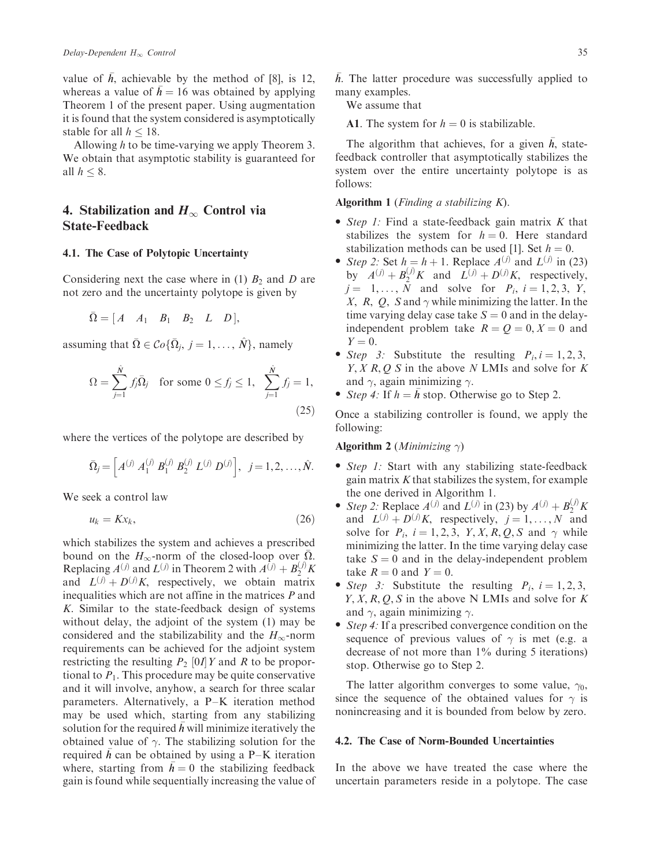value of  $\bar{h}$ , achievable by the method of [8], is 12, whereas a value of  $\bar{h} = 16$  was obtained by applying Theorem 1 of the present paper. Using augmentation it is found that the system considered is asymptotically stable for all  $h \leq 18$ .

Allowing h to be time-varying we apply Theorem 3. We obtain that asymptotic stability is guaranteed for all  $h \leq 8$ .

# 4. Stabilization and  $H_{\infty}$  Control via State-Feedback

## 4.1. The Case of Polytopic Uncertainty

Considering next the case where in (1)  $B_2$  and D are not zero and the uncertainty polytope is given by

$$
\bar{\Omega} = [A \quad A_1 \quad B_1 \quad B_2 \quad L \quad D],
$$

assuming that  $\overline{\Omega} \in \mathcal{C} \circ {\overline{\Omega}}_i, j = 1, \ldots, \hat{N}$ , namely

$$
\Omega = \sum_{j=1}^{\hat{N}} f_j \overline{\Omega}_j \quad \text{for some } 0 \le f_j \le 1, \quad \sum_{j=1}^{\hat{N}} f_j = 1,
$$
\n(25)

where the vertices of the polytope are described by

$$
\bar{\Omega}_j = \left[ A^{(j)} A_1^{(j)} B_1^{(j)} B_2^{(j)} L^{(j)} D^{(j)} \right], \ j = 1, 2, \ldots, \hat{N}.
$$

We seek a control law

$$
u_k = Kx_k, \tag{26}
$$

which stabilizes the system and achieves a prescribed bound on the  $H_{\infty}$ -norm of the closed-loop over  $\overline{\Omega}$ . Replacing  $A^{(j)}$  and  $L^{(j)}$  in Theorem 2 with  $A^{(j)} + B_2^{(j)}K$ and  $L^{(j)} + D^{(j)}K$ , respectively, we obtain matrix inequalities which are not affine in the matrices  $P$  and K. Similar to the state-feedback design of systems without delay, the adjoint of the system (1) may be considered and the stabilizability and the  $H_{\infty}$ -norm requirements can be achieved for the adjoint system restricting the resulting  $P_2$  [0*I*]*Y* and *R* to be proportional to  $P_1$ . This procedure may be quite conservative and it will involve, anyhow, a search for three scalar parameters. Alternatively, a P–K iteration method may be used which, starting from any stabilizing solution for the required  $\bar{h}$  will minimize iteratively the obtained value of  $\gamma$ . The stabilizing solution for the required  $\bar{h}$  can be obtained by using a P–K iteration where, starting from  $h = 0$  the stabilizing feedback gain is found while sequentially increasing the value of h. The latter procedure was successfully applied to many examples.

We assume that

A1. The system for  $h = 0$  is stabilizable.

The algorithm that achieves, for a given  $\bar{h}$ , statefeedback controller that asymptotically stabilizes the system over the entire uncertainty polytope is as follows:

Algorithm 1 (Finding a stabilizing  $K$ ).

- *Step 1*: Find a state-feedback gain matrix  $K$  that stabilizes the system for  $h = 0$ . Here standard stabilization methods can be used [1]. Set  $h = 0$ .
- Step 2: Set  $h = h + 1$ . Replace  $A^{(j)}$  and  $L^{(j)}$  in (23) by  $A^{(j)} + B_2^{(j)}K$  and  $\hat{L}^{(j)} + D^{(j)}K$ , respectively,  $j = 1, ..., N$  and solve for  $P_i$ ,  $i = 1, 2, 3, Y$ , X, R, Q, S and  $\gamma$  while minimizing the latter. In the time varying delay case take  $S = 0$  and in the delayindependent problem take  $R = Q = 0, X = 0$  and  $Y = 0.$
- Step 3: Substitute the resulting  $P_i$ ,  $i = 1, 2, 3$ ,  $Y, X, R, Q, S$  in the above N LMIs and solve for K and  $\gamma$ , again minimizing  $\gamma$ .
- *Step 4:* If  $h = \overline{h}$  stop. Otherwise go to Step 2.

Once a stabilizing controller is found, we apply the following:

**Algorithm 2** (*Minimizing*  $\gamma$ )

- Step 1: Start with any stabilizing state-feedback gain matrix  $K$  that stabilizes the system, for example the one derived in Algorithm 1.
- Step 2: Replace  $A^{(j)}$  and  $L^{(j)}$  in (23) by  $A^{(j)} + B_2^{(j)}K$ and  $L^{(j)} + D^{(j)}K$ , respectively,  $j = 1, ..., N$  and solve for  $P_i$ ,  $i = 1, 2, 3, Y, X, R, Q, S$  and  $\gamma$  while minimizing the latter. In the time varying delay case take  $S = 0$  and in the delay-independent problem take  $R = 0$  and  $Y = 0$ .
- Step 3: Substitute the resulting  $P_i$ ,  $i = 1, 2, 3$ ,  $Y, X, R, Q, S$  in the above N LMIs and solve for K and  $\gamma$ , again minimizing  $\gamma$ .
- *Step 4*: If a prescribed convergence condition on the sequence of previous values of  $\gamma$  is met (e.g. a decrease of not more than 1% during 5 iterations) stop. Otherwise go to Step 2.

The latter algorithm converges to some value,  $\gamma_0$ , since the sequence of the obtained values for  $\gamma$  is nonincreasing and it is bounded from below by zero.

#### 4.2. The Case of Norm-Bounded Uncertainties

In the above we have treated the case where the uncertain parameters reside in a polytope. The case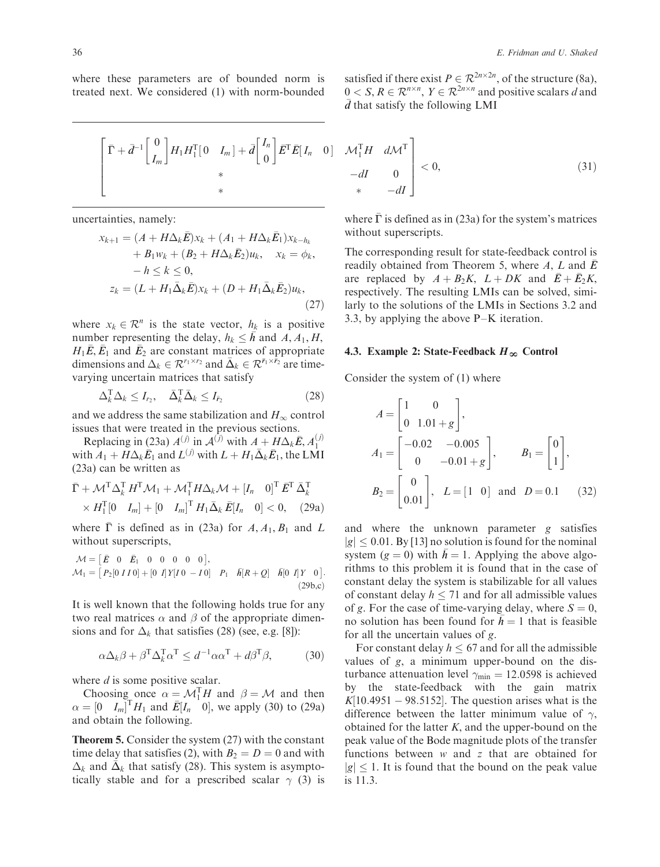where these parameters are of bounded norm is treated next. We considered (1) with norm-bounded satisfied if there exist  $P \in \mathcal{R}^{2n \times 2n}$ , of the structure (8a),  $0 < S, R \in \mathcal{R}^{n \times n}, Y \in \mathcal{R}^{2n \times n}$  and positive scalars d and  $\bar{d}$  that satisfy the following LMI

$$
\begin{bmatrix}\n\bar{\Gamma} + \bar{d}^{-1} \begin{bmatrix} 0 \\ I_m \end{bmatrix} H_1 H_1^{\mathrm{T}} [0 \quad I_m] + \bar{d} \begin{bmatrix} I_n \\ 0 \end{bmatrix} \bar{E}^{\mathrm{T}} \bar{E} [I_n \quad 0] & \mathcal{M}_1^{\mathrm{T}} H & d\mathcal{M}^{\mathrm{T}} \\
\ast & -dI & 0 \\
\ast & -dI & 0 \\
\end{bmatrix} < 0,\n\tag{31}
$$

uncertainties, namely:

$$
x_{k+1} = (A + H\Delta_k \bar{E})x_k + (A_1 + H\Delta_k \bar{E}_1)x_{k-h_k} + B_1 w_k + (B_2 + H\Delta_k \bar{E}_2)u_k, \quad x_k = \phi_k, -h \le k \le 0, z_k = (L + H_1 \bar{\Delta}_k \bar{E})x_k + (D + H_1 \bar{\Delta}_k \bar{E}_2)u_k,
$$
\n(27)

where  $x_k \in \mathcal{R}^n$  is the state vector,  $h_k$  is a positive number representing the delay,  $h_k \leq \bar{h}$  and  $A, A_1, H$ ,  $H_1\bar{E}, \bar{E}_1$  and  $\bar{E}_2$  are constant matrices of appropriate dimensions and  $\Delta_k \in \mathcal{R}^{r_1 \times r_2}$  and  $\bar{\Delta}_k \in \mathcal{R}^{\bar{r}_1 \times \bar{r}_2}$  are timevarying uncertain matrices that satisfy

$$
\Delta_k^{\mathrm{T}} \Delta_k \le I_{r_2}, \quad \bar{\Delta}_k^{\mathrm{T}} \bar{\Delta}_k \le I_{\bar{r}_2} \tag{28}
$$

and we address the same stabilization and  $H_{\infty}$  control issues that were treated in the previous sections.

Replacing in (23a)  $A^{(j)}$  in  $A^{(j)}$  with  $A + H\Delta_k \bar{E}$ ,  $A_1^{(j)}$ with  $A_1 + H\Delta_k \bar{E}_1$  and  $L^{(j)}$  with  $L + H_1 \bar{\Delta}_k \bar{E}_1$ , the LMI (23a) can be written as

$$
\overline{\Gamma} + \mathcal{M}^{\mathrm{T}} \Delta_k^{\mathrm{T}} H^{\mathrm{T}} \mathcal{M}_1 + \mathcal{M}_1^{\mathrm{T}} H \Delta_k \mathcal{M} + [I_n \quad 0]^{\mathrm{T}} \overline{E}^{\mathrm{T}} \overline{\Delta}_k^{\mathrm{T}} \times H_1^{\mathrm{T}} [0 \quad I_m] + [0 \quad I_m]^{\mathrm{T}} H_1 \overline{\Delta}_k \overline{E} [I_n \quad 0] < 0, \quad (29a)
$$

where  $\overline{\Gamma}$  is defined as in (23a) for  $A, A_1, B_1$  and L without superscripts,

$$
\mathcal{M} = \begin{bmatrix} \bar{E} & 0 & \bar{E}_1 & 0 & 0 & 0 & 0 \end{bmatrix}, \n\mathcal{M}_1 = \begin{bmatrix} P_2[0 \, I \, I \, 0] + [0 \, I] Y[I \, 0 - I \, 0] & P_1 & \bar{h}[R + Q] & \bar{h}[0 \, I] Y & 0 \end{bmatrix}.
$$
\n(29b,c)

It is well known that the following holds true for any two real matrices  $\alpha$  and  $\beta$  of the appropriate dimensions and for  $\Delta_k$  that satisfies (28) (see, e.g. [8]):

$$
\alpha \Delta_k \beta + \beta^{\mathsf{T}} \Delta_k^{\mathsf{T}} \alpha^{\mathsf{T}} \le d^{-1} \alpha \alpha^{\mathsf{T}} + d \beta^{\mathsf{T}} \beta, \tag{30}
$$

where *d* is some positive scalar.

Choosing once  $\alpha = \mathcal{M}_1^T H$  and  $\beta = \mathcal{M}$  and then  $\alpha = \begin{bmatrix} 0 & I_m \end{bmatrix}^T H_1$  and  $\overline{E}[I_n \ 0]$ , we apply (30) to (29a) and obtain the following.

Theorem 5. Consider the system (27) with the constant time delay that satisfies (2), with  $B_2 = D = 0$  and with  $\Delta_k$  and  $\Delta_k$  that satisfy (28). This system is asymptotically stable and for a prescribed scalar  $\gamma$  (3) is where  $\Gamma$  is defined as in (23a) for the system's matrices without superscripts.

The corresponding result for state-feedback control is readily obtained from Theorem 5, where A, L and  $\overline{E}$ are replaced by  $A + B_2K$ ,  $L + DK$  and  $E + E_2K$ , respectively. The resulting LMIs can be solved, similarly to the solutions of the LMIs in Sections 3.2 and 3.3, by applying the above P–K iteration.

#### 4.3. Example 2: State-Feedback  $H_{\infty}$  Control

Consider the system of (1) where

$$
A = \begin{bmatrix} 1 & 0 \\ 0 & 1.01 + g \end{bmatrix},
$$
  
\n
$$
A_1 = \begin{bmatrix} -0.02 & -0.005 \\ 0 & -0.01 + g \end{bmatrix}, \qquad B_1 = \begin{bmatrix} 0 \\ 1 \end{bmatrix},
$$
  
\n
$$
B_2 = \begin{bmatrix} 0 \\ 0.01 \end{bmatrix}, \quad L = \begin{bmatrix} 1 & 0 \end{bmatrix} \text{ and } D = 0.1 \qquad (32)
$$

and where the unknown parameter g satisfies  $|g|$  < 0.01. By [13] no solution is found for the nominal system (g = 0) with  $h = 1$ . Applying the above algorithms to this problem it is found that in the case of constant delay the system is stabilizable for all values of constant delay  $h \le 71$  and for all admissible values of g. For the case of time-varying delay, where  $S = 0$ , no solution has been found for  $h = 1$  that is feasible for all the uncertain values of g.

For constant delay  $h \leq 67$  and for all the admissible values of g, a minimum upper-bound on the disturbance attenuation level  $\gamma_{\text{min}} = 12.0598$  is achieved by the state-feedback with the gain matrix  $K[10.4951 - 98.5152]$ . The question arises what is the difference between the latter minimum value of  $\gamma$ , obtained for the latter  $K$ , and the upper-bound on the peak value of the Bode magnitude plots of the transfer functions between  $w$  and  $z$  that are obtained for  $|g| \leq 1$ . It is found that the bound on the peak value is 11.3.